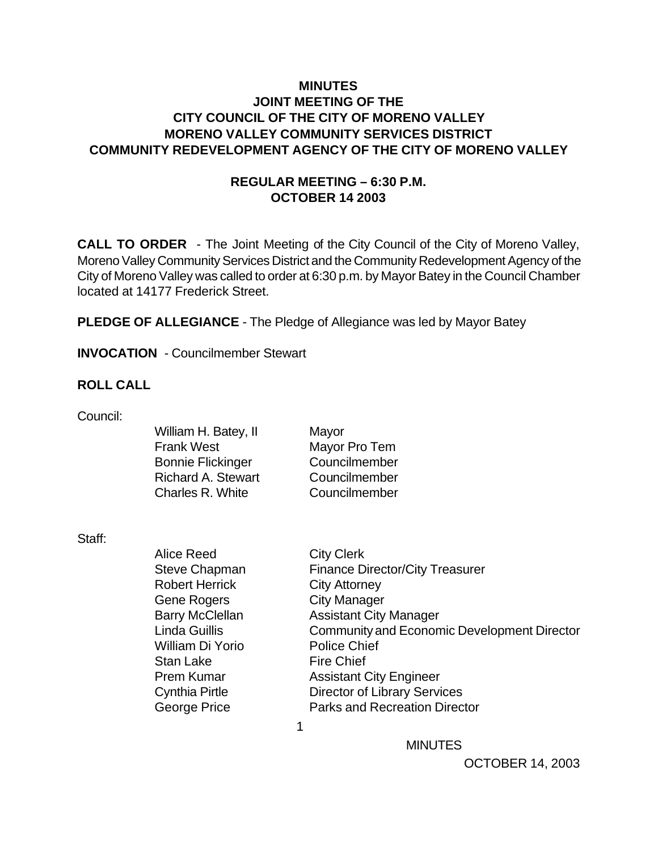### **MINUTES JOINT MEETING OF THE CITY COUNCIL OF THE CITY OF MORENO VALLEY MORENO VALLEY COMMUNITY SERVICES DISTRICT COMMUNITY REDEVELOPMENT AGENCY OF THE CITY OF MORENO VALLEY**

### **REGULAR MEETING – 6:30 P.M. OCTOBER 14 2003**

**CALL TO ORDER** - The Joint Meeting of the City Council of the City of Moreno Valley, Moreno Valley Community Services District and the Community Redevelopment Agency of the City of Moreno Valley was called to order at 6:30 p.m. by Mayor Batey in the Council Chamber located at 14177 Frederick Street.

Mayor

Mayor Pro Tem Councilmember Councilmember Councilmember

**PLEDGE OF ALLEGIANCE** - The Pledge of Allegiance was led by Mayor Batey

**INVOCATION** - Councilmember Stewart

#### **ROLL CALL**

Council:

| William H. Batey, II      |
|---------------------------|
| <b>Frank West</b>         |
| <b>Bonnie Flickinger</b>  |
| <b>Richard A. Stewart</b> |
| Charles R. White          |
|                           |

Staff:

| olan. |                        |                                             |
|-------|------------------------|---------------------------------------------|
|       | Alice Reed             | <b>City Clerk</b>                           |
|       | <b>Steve Chapman</b>   | <b>Finance Director/City Treasurer</b>      |
|       | <b>Robert Herrick</b>  | <b>City Attorney</b>                        |
|       | Gene Rogers            | <b>City Manager</b>                         |
|       | <b>Barry McClellan</b> | <b>Assistant City Manager</b>               |
|       | <b>Linda Guillis</b>   | Community and Economic Development Director |
|       | William Di Yorio       | <b>Police Chief</b>                         |
|       | <b>Stan Lake</b>       | <b>Fire Chief</b>                           |
|       | <b>Prem Kumar</b>      | <b>Assistant City Engineer</b>              |
|       | <b>Cynthia Pirtle</b>  | <b>Director of Library Services</b>         |
|       | George Price           | <b>Parks and Recreation Director</b>        |
|       |                        |                                             |
|       |                        |                                             |

**MINUTES**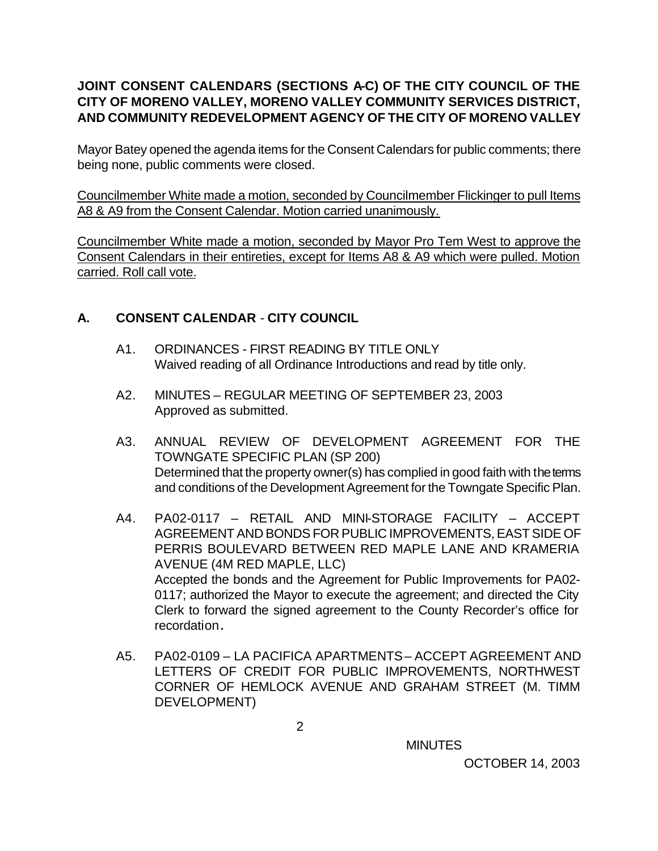# **JOINT CONSENT CALENDARS (SECTIONS A-C) OF THE CITY COUNCIL OF THE CITY OF MORENO VALLEY, MORENO VALLEY COMMUNITY SERVICES DISTRICT, AND COMMUNITY REDEVELOPMENT AGENCY OF THE CITY OF MORENO VALLEY**

Mayor Batey opened the agenda items for the Consent Calendars for public comments; there being none, public comments were closed.

Councilmember White made a motion, seconded by Councilmember Flickinger to pull Items A8 & A9 from the Consent Calendar. Motion carried unanimously.

Councilmember White made a motion, seconded by Mayor Pro Tem West to approve the Consent Calendars in their entireties, except for Items A8 & A9 which were pulled. Motion carried. Roll call vote.

# **A. CONSENT CALENDAR** - **CITY COUNCIL**

- A1. ORDINANCES FIRST READING BY TITLE ONLY Waived reading of all Ordinance Introductions and read by title only.
- A2. MINUTES REGULAR MEETING OF SEPTEMBER 23, 2003 Approved as submitted.
- A3. ANNUAL REVIEW OF DEVELOPMENT AGREEMENT FOR THE TOWNGATE SPECIFIC PLAN (SP 200) Determined that the property owner(s) has complied in good faith with the terms and conditions of the Development Agreement for the Towngate Specific Plan.
- A4. PA02-0117 RETAIL AND MINI-STORAGE FACILITY ACCEPT AGREEMENT AND BONDS FOR PUBLIC IMPROVEMENTS, EAST SIDE OF PERRIS BOULEVARD BETWEEN RED MAPLE LANE AND KRAMERIA AVENUE (4M RED MAPLE, LLC) Accepted the bonds and the Agreement for Public Improvements for PA02- 0117; authorized the Mayor to execute the agreement; and directed the City Clerk to forward the signed agreement to the County Recorder's office for recordation.
- A5. PA02-0109 LA PACIFICA APARTMENTS ACCEPT AGREEMENT AND LETTERS OF CREDIT FOR PUBLIC IMPROVEMENTS, NORTHWEST CORNER OF HEMLOCK AVENUE AND GRAHAM STREET (M. TIMM DEVELOPMENT)

**MINUTES**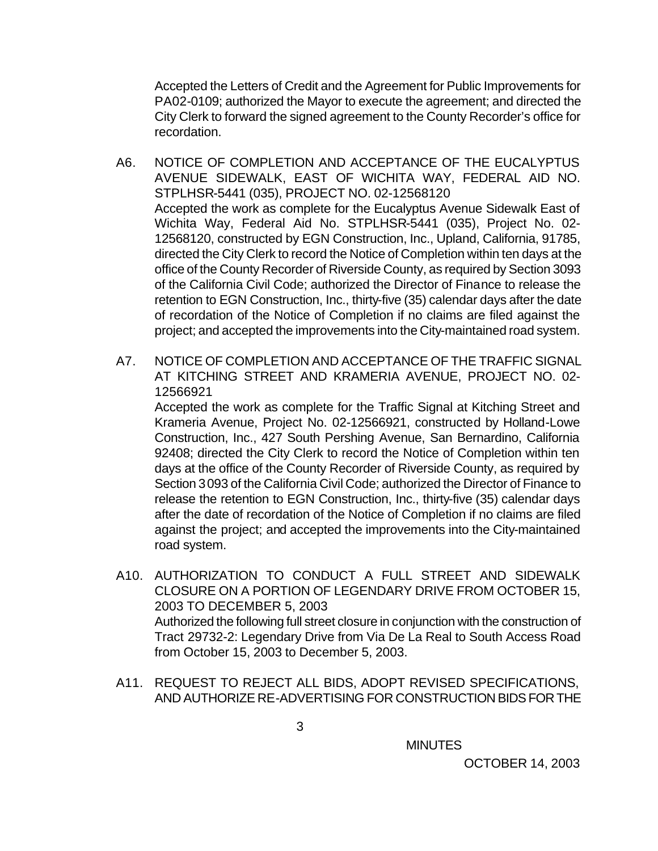Accepted the Letters of Credit and the Agreement for Public Improvements for PA02-0109; authorized the Mayor to execute the agreement; and directed the City Clerk to forward the signed agreement to the County Recorder's office for recordation.

- A6. NOTICE OF COMPLETION AND ACCEPTANCE OF THE EUCALYPTUS AVENUE SIDEWALK, EAST OF WICHITA WAY, FEDERAL AID NO. STPLHSR-5441 (035), PROJECT NO. 02-12568120 Accepted the work as complete for the Eucalyptus Avenue Sidewalk East of Wichita Way, Federal Aid No. STPLHSR-5441 (035), Project No. 02- 12568120, constructed by EGN Construction, Inc., Upland, California, 91785, directed the City Clerk to record the Notice of Completion within ten days at the office of the County Recorder of Riverside County, as required by Section 3093 of the California Civil Code; authorized the Director of Finance to release the retention to EGN Construction, Inc., thirty-five (35) calendar days after the date of recordation of the Notice of Completion if no claims are filed against the project; and accepted the improvements into the City-maintained road system.
- A7. NOTICE OF COMPLETION AND ACCEPTANCE OF THE TRAFFIC SIGNAL AT KITCHING STREET AND KRAMERIA AVENUE, PROJECT NO. 02- 12566921

Accepted the work as complete for the Traffic Signal at Kitching Street and Krameria Avenue, Project No. 02-12566921, constructed by Holland-Lowe Construction, Inc., 427 South Pershing Avenue, San Bernardino, California 92408; directed the City Clerk to record the Notice of Completion within ten days at the office of the County Recorder of Riverside County, as required by Section 3093 of the California Civil Code; authorized the Director of Finance to release the retention to EGN Construction, Inc., thirty-five (35) calendar days after the date of recordation of the Notice of Completion if no claims are filed against the project; and accepted the improvements into the City-maintained road system.

- A10. AUTHORIZATION TO CONDUCT A FULL STREET AND SIDEWALK CLOSURE ON A PORTION OF LEGENDARY DRIVE FROM OCTOBER 15, 2003 TO DECEMBER 5, 2003 Authorized the following full street closure in conjunction with the construction of Tract 29732-2: Legendary Drive from Via De La Real to South Access Road from October 15, 2003 to December 5, 2003.
- A11. REQUEST TO REJECT ALL BIDS, ADOPT REVISED SPECIFICATIONS, AND AUTHORIZE RE-ADVERTISING FOR CONSTRUCTION BIDS FOR THE

**MINUTES**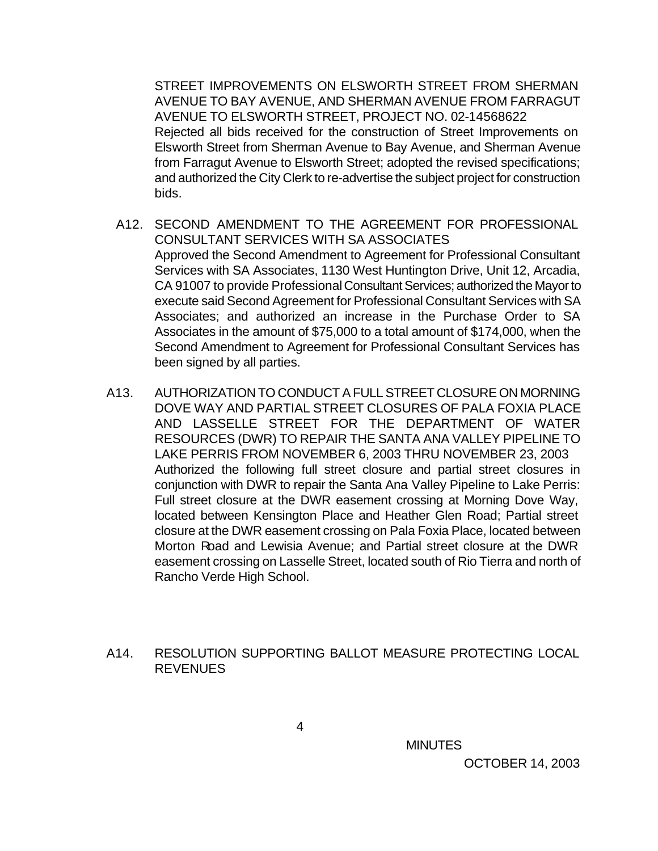STREET IMPROVEMENTS ON ELSWORTH STREET FROM SHERMAN AVENUE TO BAY AVENUE, AND SHERMAN AVENUE FROM FARRAGUT AVENUE TO ELSWORTH STREET, PROJECT NO. 02-14568622 Rejected all bids received for the construction of Street Improvements on Elsworth Street from Sherman Avenue to Bay Avenue, and Sherman Avenue from Farragut Avenue to Elsworth Street; adopted the revised specifications; and authorized the City Clerk to re-advertise the subject project for construction bids.

- A12. SECOND AMENDMENT TO THE AGREEMENT FOR PROFESSIONAL CONSULTANT SERVICES WITH SA ASSOCIATES Approved the Second Amendment to Agreement for Professional Consultant Services with SA Associates, 1130 West Huntington Drive, Unit 12, Arcadia, CA 91007 to provide Professional Consultant Services; authorized the Mayor to execute said Second Agreement for Professional Consultant Services with SA Associates; and authorized an increase in the Purchase Order to SA Associates in the amount of \$75,000 to a total amount of \$174,000, when the Second Amendment to Agreement for Professional Consultant Services has been signed by all parties.
- A13. AUTHORIZATION TO CONDUCT A FULL STREET CLOSURE ON MORNING DOVE WAY AND PARTIAL STREET CLOSURES OF PALA FOXIA PLACE AND LASSELLE STREET FOR THE DEPARTMENT OF WATER RESOURCES (DWR) TO REPAIR THE SANTA ANA VALLEY PIPELINE TO LAKE PERRIS FROM NOVEMBER 6, 2003 THRU NOVEMBER 23, 2003 Authorized the following full street closure and partial street closures in conjunction with DWR to repair the Santa Ana Valley Pipeline to Lake Perris: Full street closure at the DWR easement crossing at Morning Dove Way, located between Kensington Place and Heather Glen Road; Partial street closure at the DWR easement crossing on Pala Foxia Place, located between Morton Road and Lewisia Avenue; and Partial street closure at the DWR easement crossing on Lasselle Street, located south of Rio Tierra and north of Rancho Verde High School.
- A14. RESOLUTION SUPPORTING BALLOT MEASURE PROTECTING LOCAL **REVENUES**

**MINUTES**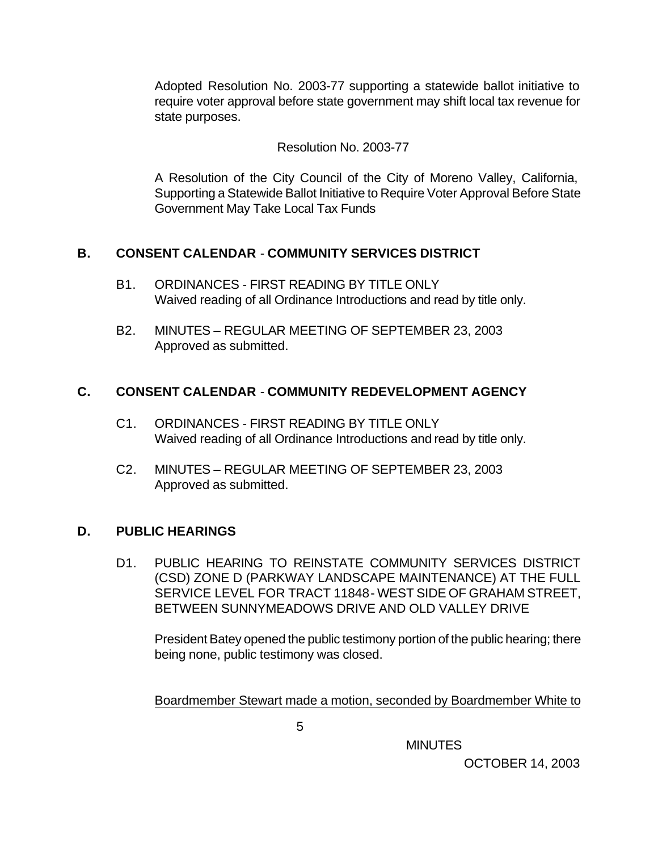Adopted Resolution No. 2003-77 supporting a statewide ballot initiative to require voter approval before state government may shift local tax revenue for state purposes.

## Resolution No. 2003-77

A Resolution of the City Council of the City of Moreno Valley, California, Supporting a Statewide Ballot Initiative to Require Voter Approval Before State Government May Take Local Tax Funds

## **B. CONSENT CALENDAR** - **COMMUNITY SERVICES DISTRICT**

- B1. ORDINANCES FIRST READING BY TITLE ONLY Waived reading of all Ordinance Introductions and read by title only.
- B2. MINUTES REGULAR MEETING OF SEPTEMBER 23, 2003 Approved as submitted.

## **C. CONSENT CALENDAR** - **COMMUNITY REDEVELOPMENT AGENCY**

- C1. ORDINANCES FIRST READING BY TITLE ONLY Waived reading of all Ordinance Introductions and read by title only.
- C2. MINUTES REGULAR MEETING OF SEPTEMBER 23, 2003 Approved as submitted.

# **D. PUBLIC HEARINGS**

D1. PUBLIC HEARING TO REINSTATE COMMUNITY SERVICES DISTRICT (CSD) ZONE D (PARKWAY LANDSCAPE MAINTENANCE) AT THE FULL SERVICE LEVEL FOR TRACT 11848 - WEST SIDE OF GRAHAM STREET, BETWEEN SUNNYMEADOWS DRIVE AND OLD VALLEY DRIVE

President Batey opened the public testimony portion of the public hearing; there being none, public testimony was closed.

Boardmember Stewart made a motion, seconded by Boardmember White to

**MINUTES**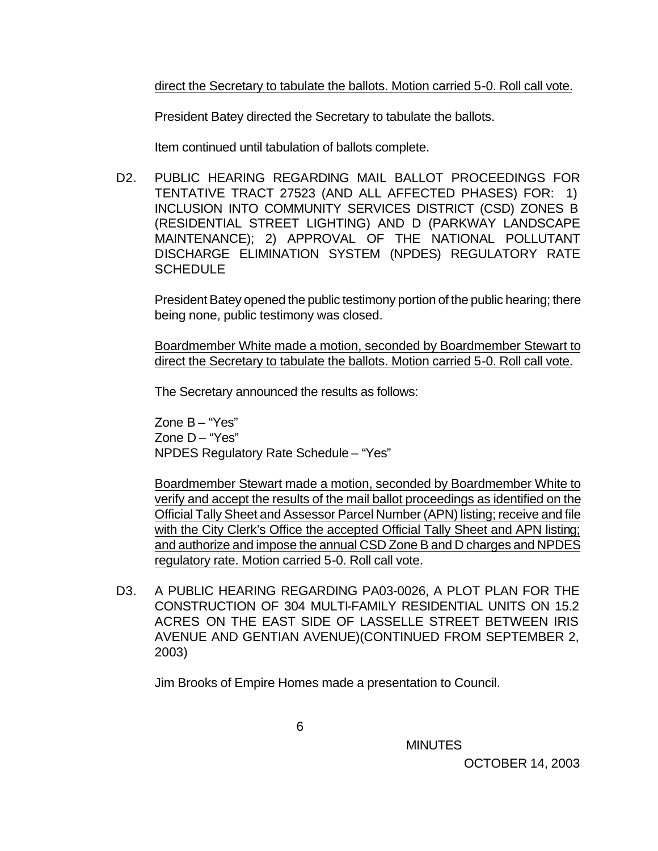direct the Secretary to tabulate the ballots. Motion carried 5-0. Roll call vote.

President Batey directed the Secretary to tabulate the ballots.

Item continued until tabulation of ballots complete.

D2. PUBLIC HEARING REGARDING MAIL BALLOT PROCEEDINGS FOR TENTATIVE TRACT 27523 (AND ALL AFFECTED PHASES) FOR: 1) INCLUSION INTO COMMUNITY SERVICES DISTRICT (CSD) ZONES B (RESIDENTIAL STREET LIGHTING) AND D (PARKWAY LANDSCAPE MAINTENANCE); 2) APPROVAL OF THE NATIONAL POLLUTANT DISCHARGE ELIMINATION SYSTEM (NPDES) REGULATORY RATE **SCHEDULE** 

President Batey opened the public testimony portion of the public hearing; there being none, public testimony was closed.

Boardmember White made a motion, seconded by Boardmember Stewart to direct the Secretary to tabulate the ballots. Motion carried 5-0. Roll call vote.

The Secretary announced the results as follows:

Zone B – "Yes" Zone D – "Yes" NPDES Regulatory Rate Schedule – "Yes"

Boardmember Stewart made a motion, seconded by Boardmember White to verify and accept the results of the mail ballot proceedings as identified on the Official Tally Sheet and Assessor Parcel Number (APN) listing; receive and file with the City Clerk's Office the accepted Official Tally Sheet and APN listing; and authorize and impose the annual CSD Zone B and D charges and NPDES regulatory rate. Motion carried 5-0. Roll call vote.

D3. A PUBLIC HEARING REGARDING PA03-0026, A PLOT PLAN FOR THE CONSTRUCTION OF 304 MULTI-FAMILY RESIDENTIAL UNITS ON 15.2 ACRES ON THE EAST SIDE OF LASSELLE STREET BETWEEN IRIS AVENUE AND GENTIAN AVENUE)(CONTINUED FROM SEPTEMBER 2, 2003)

Jim Brooks of Empire Homes made a presentation to Council.

**MINUTES**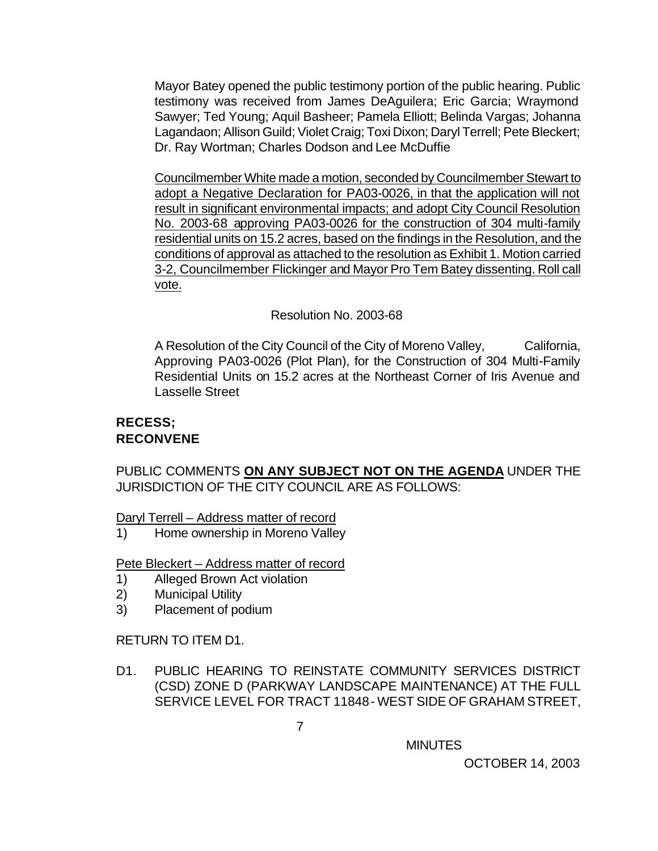Mayor Batey opened the public testimony portion of the public hearing. Public testimony was received from James DeAguilera; Eric Garcia; Wraymond Sawyer; Ted Young; Aquil Basheer; Pamela Elliott; Belinda Vargas; Johanna Lagandaon; Allison Guild; Violet Craig; Toxi Dixon; Daryl Terrell; Pete Bleckert; Dr. Ray Wortman; Charles Dodson and Lee McDuffie

Councilmember White made a motion, seconded by Councilmember Stewart to adopt a Negative Declaration for PA03-0026, in that the application will not result in significant environmental impacts; and adopt City Council Resolution No. 2003-68 approving PA03-0026 for the construction of 304 multi-family residential units on 15.2 acres, based on the findings in the Resolution, and the conditions of approval as attached to the resolution as Exhibit 1. Motion carried 3-2, Councilmember Flickinger and Mayor Pro Tem Batey dissenting. Roll call vote.

### Resolution No. 2003-68

A Resolution of the City Council of the City of Moreno Valley, California, Approving PA03-0026 (Plot Plan), for the Construction of 304 Multi-Family Residential Units on 15.2 acres at the Northeast Corner of Iris Avenue and Lasselle Street

### **RECESS; RECONVENE**

PUBLIC COMMENTS **ON ANY SUBJECT NOT ON THE AGENDA** UNDER THE JURISDICTION OF THE CITY COUNCIL ARE AS FOLLOWS:

Daryl Terrell – Address matter of record

1) Home ownership in Moreno Valley

Pete Bleckert – Address matter of record

- 1) Alleged Brown Act violation
- 2) Municipal Utility
- 3) Placement of podium

RETURN TO ITEM D1.

D1. PUBLIC HEARING TO REINSTATE COMMUNITY SERVICES DISTRICT (CSD) ZONE D (PARKWAY LANDSCAPE MAINTENANCE) AT THE FULL SERVICE LEVEL FOR TRACT 11848 - WEST SIDE OF GRAHAM STREET,

**MINUTES**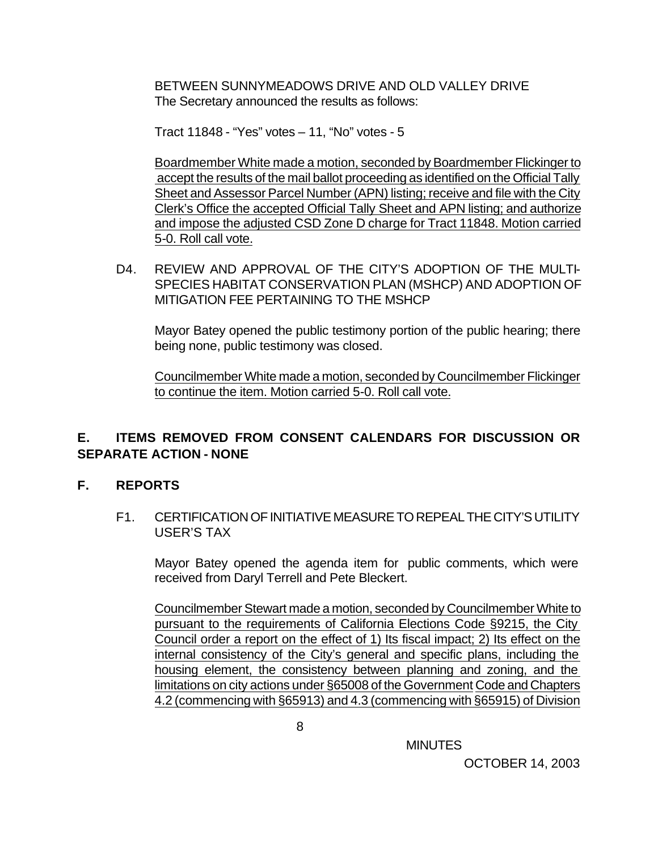BETWEEN SUNNYMEADOWS DRIVE AND OLD VALLEY DRIVE The Secretary announced the results as follows:

Tract 11848 - "Yes" votes – 11, "No" votes - 5

Boardmember White made a motion, seconded by Boardmember Flickinger to accept the results of the mail ballot proceeding as identified on the Official Tally Sheet and Assessor Parcel Number (APN) listing; receive and file with the City Clerk's Office the accepted Official Tally Sheet and APN listing; and authorize and impose the adjusted CSD Zone D charge for Tract 11848. Motion carried 5-0. Roll call vote.

D4. REVIEW AND APPROVAL OF THE CITY'S ADOPTION OF THE MULTI-SPECIES HABITAT CONSERVATION PLAN (MSHCP) AND ADOPTION OF MITIGATION FEE PERTAINING TO THE MSHCP

Mayor Batey opened the public testimony portion of the public hearing; there being none, public testimony was closed.

Councilmember White made a motion, seconded by Councilmember Flickinger to continue the item. Motion carried 5-0. Roll call vote.

# **E. ITEMS REMOVED FROM CONSENT CALENDARS FOR DISCUSSION OR SEPARATE ACTION - NONE**

### **F. REPORTS**

F1. CERTIFICATION OF INITIATIVE MEASURE TO REPEAL THE CITY'S UTILITY USER'S TAX

Mayor Batey opened the agenda item for public comments, which were received from Daryl Terrell and Pete Bleckert.

Councilmember Stewart made a motion, seconded by Councilmember White to pursuant to the requirements of California Elections Code §9215, the City Council order a report on the effect of 1) Its fiscal impact; 2) Its effect on the internal consistency of the City's general and specific plans, including the housing element, the consistency between planning and zoning, and the limitations on city actions under §65008 of the Government Code and Chapters 4.2 (commencing with §65913) and 4.3 (commencing with §65915) of Division

MINUTES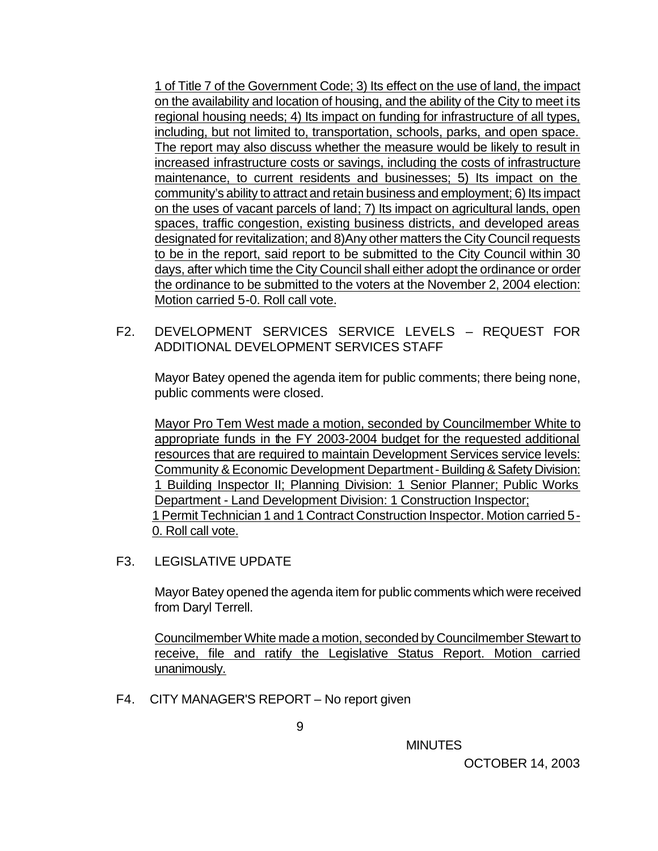1 of Title 7 of the Government Code; 3) Its effect on the use of land, the impact on the availability and location of housing, and the ability of the City to meet its regional housing needs; 4) Its impact on funding for infrastructure of all types, including, but not limited to, transportation, schools, parks, and open space. The report may also discuss whether the measure would be likely to result in increased infrastructure costs or savings, including the costs of infrastructure maintenance, to current residents and businesses; 5) Its impact on the community's ability to attract and retain business and employment; 6) Its impact on the uses of vacant parcels of land; 7) Its impact on agricultural lands, open spaces, traffic congestion, existing business districts, and developed areas designated for revitalization; and 8) Any other matters the City Council requests to be in the report, said report to be submitted to the City Council within 30 days, after which time the City Council shall either adopt the ordinance or order the ordinance to be submitted to the voters at the November 2, 2004 election: Motion carried 5-0. Roll call vote.

F2. DEVELOPMENT SERVICES SERVICE LEVELS – REQUEST FOR ADDITIONAL DEVELOPMENT SERVICES STAFF

Mayor Batey opened the agenda item for public comments; there being none, public comments were closed.

Mayor Pro Tem West made a motion, seconded by Councilmember White to appropriate funds in the FY 2003-2004 budget for the requested additional resources that are required to maintain Development Services service levels: Community & Economic Development Department - Building & Safety Division: 1 Building Inspector II; Planning Division: 1 Senior Planner; Public Works Department - Land Development Division: 1 Construction Inspector; 1 Permit Technician 1 and 1 Contract Construction Inspector. Motion carried 5- 0. Roll call vote.

F3. LEGISLATIVE UPDATE

Mayor Batey opened the agenda item for public comments which were received from Daryl Terrell.

Councilmember White made a motion, seconded by Councilmember Stewart to receive, file and ratify the Legislative Status Report. Motion carried unanimously.

F4. CITY MANAGER'S REPORT – No report given

**MINUTES**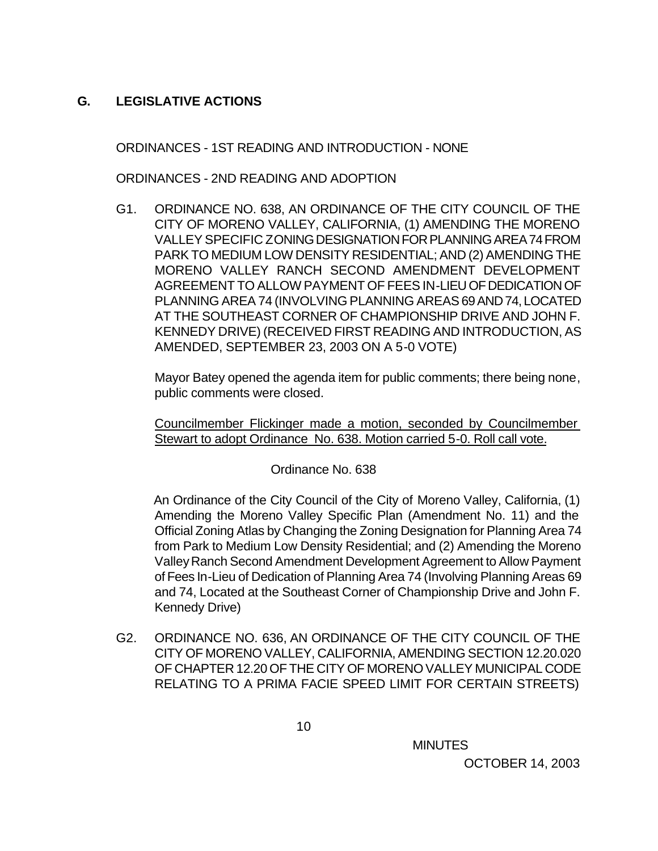## **G. LEGISLATIVE ACTIONS**

ORDINANCES - 1ST READING AND INTRODUCTION - NONE

ORDINANCES - 2ND READING AND ADOPTION

G1. ORDINANCE NO. 638, AN ORDINANCE OF THE CITY COUNCIL OF THE CITY OF MORENO VALLEY, CALIFORNIA, (1) AMENDING THE MORENO VALLEY SPECIFIC ZONING DESIGNATION FOR PLANNING AREA 74 FROM PARK TO MEDIUM LOW DENSITY RESIDENTIAL; AND (2) AMENDING THE MORENO VALLEY RANCH SECOND AMENDMENT DEVELOPMENT AGREEMENT TO ALLOW PAYMENT OF FEES IN-LIEU OF DEDICATION OF PLANNING AREA 74 (INVOLVING PLANNING AREAS 69 AND 74, LOCATED AT THE SOUTHEAST CORNER OF CHAMPIONSHIP DRIVE AND JOHN F. KENNEDY DRIVE) (RECEIVED FIRST READING AND INTRODUCTION, AS AMENDED, SEPTEMBER 23, 2003 ON A 5-0 VOTE)

Mayor Batey opened the agenda item for public comments; there being none, public comments were closed.

Councilmember Flickinger made a motion, seconded by Councilmember Stewart to adopt Ordinance No. 638. Motion carried 5-0. Roll call vote.

Ordinance No. 638

 An Ordinance of the City Council of the City of Moreno Valley, California, (1) Amending the Moreno Valley Specific Plan (Amendment No. 11) and the Official Zoning Atlas by Changing the Zoning Designation for Planning Area 74 from Park to Medium Low Density Residential; and (2) Amending the Moreno Valley Ranch Second Amendment Development Agreement to Allow Payment of Fees In-Lieu of Dedication of Planning Area 74 (Involving Planning Areas 69 and 74, Located at the Southeast Corner of Championship Drive and John F. Kennedy Drive)

G2. ORDINANCE NO. 636, AN ORDINANCE OF THE CITY COUNCIL OF THE CITY OF MORENO VALLEY, CALIFORNIA, AMENDING SECTION 12.20.020 OF CHAPTER 12.20 OF THE CITY OF MORENO VALLEY MUNICIPAL CODE RELATING TO A PRIMA FACIE SPEED LIMIT FOR CERTAIN STREETS)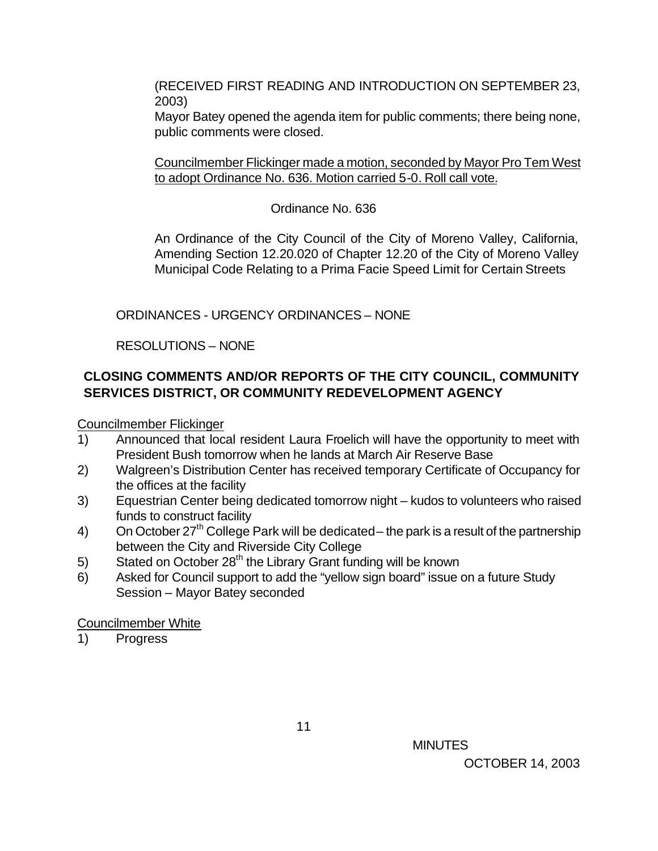(RECEIVED FIRST READING AND INTRODUCTION ON SEPTEMBER 23, 2003)

Mayor Batey opened the agenda item for public comments; there being none, public comments were closed.

Councilmember Flickinger made a motion, seconded by Mayor Pro Tem West to adopt Ordinance No. 636. Motion carried 5-0. Roll call vote.

Ordinance No. 636

An Ordinance of the City Council of the City of Moreno Valley, California, Amending Section 12.20.020 of Chapter 12.20 of the City of Moreno Valley Municipal Code Relating to a Prima Facie Speed Limit for Certain Streets

ORDINANCES - URGENCY ORDINANCES – NONE

RESOLUTIONS – NONE

# **CLOSING COMMENTS AND/OR REPORTS OF THE CITY COUNCIL, COMMUNITY SERVICES DISTRICT, OR COMMUNITY REDEVELOPMENT AGENCY**

Councilmember Flickinger

- 1) Announced that local resident Laura Froelich will have the opportunity to meet with President Bush tomorrow when he lands at March Air Reserve Base
- 2) Walgreen's Distribution Center has received temporary Certificate of Occupancy for the offices at the facility
- 3) Equestrian Center being dedicated tomorrow night kudos to volunteers who raised funds to construct facility
- 4) On October 27<sup>th</sup> College Park will be dedicated the park is a result of the partnership between the City and Riverside City College
- 5) Stated on October  $28<sup>th</sup>$  the Library Grant funding will be known
- 6) Asked for Council support to add the "yellow sign board" issue on a future Study Session – Mayor Batey seconded

Councilmember White

1) Progress

 $11$ 

**MINUTES** OCTOBER 14, 2003